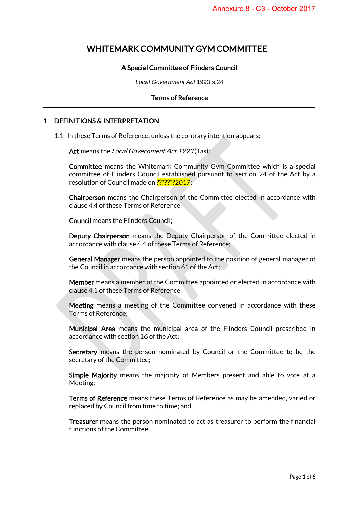# WHITEMARK COMMUNITY GYM COMMITTEE

# A Special Committee of Flinders Council

*Local Government Act* 1993 s.24

#### Terms of Reference

# 1 DEFINITIONS & INTERPRETATION

1.1 In these Terms of Reference, unless the contrary intention appears:

Act means the Local Government Act 1993(Tas);

Committee means the Whitemark Community Gym Committee which is a special committee of Flinders Council established pursuant to section 24 of the Act by a resolution of Council made on ???????2017;

Chairperson means the Chairperson of the Committee elected in accordance with clause 4.4 of these Terms of Reference;

Council means the Flinders Council;

Deputy Chairperson means the Deputy Chairperson of the Committee elected in accordance with clause 4.4 of these Terms of Reference;

General Manager means the person appointed to the position of general manager of the Council in accordance with section 61 of the Act;

Member means a member of the Committee appointed or elected in accordance with clause 4.1 of these Terms of Reference;

Meeting means a meeting of the Committee convened in accordance with these Terms of Reference;

Municipal Area means the municipal area of the Flinders Council prescribed in accordance with section 16 of the Act;

Secretary means the person nominated by Council or the Committee to be the secretary of the Committee;

Simple Majority means the majority of Members present and able to vote at a Meeting;

Terms of Reference means these Terms of Reference as may be amended, varied or replaced by Council from time to time; and

Treasurer means the person nominated to act as treasurer to perform the financial functions of the Committee.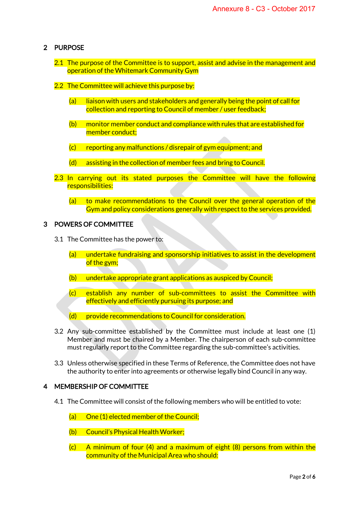# 2 PURPOSE

- 2.1 The purpose of the Committee is to support, assist and advise in the management and operation of the Whitemark Community Gym
- 2.2 The Committee will achieve this purpose by:
	- (a) liaison with users and stakeholders and generally being the point of call for collection and reporting to Council of member / user feedback;
	- $(b)$  monitor member conduct and compliance with rules that are established for member conduct;
	- $(c)$  reporting any malfunctions / disrepair of gym equipment; and
	- (d) assisting in the collection of member fees and bring to Council.
- 2.3 In carrying out its stated purposes the Committee will have the following responsibilities:
	- (a) to make recommendations to the Council over the general operation of the Gym and policy considerations generally with respect to the services provided.

#### 3 POWERS OF COMMITTEE

- 3.1 The Committee has the power to:
	- (a) undertake fundraising and sponsorship initiatives to assist in the development of the gym;
	- (b) undertake appropriate grant applications as auspiced by Council;
	- (c) establish any number of sub-committees to assist the Committee with effectively and efficiently pursuing its purpose; and
	- (d) provide recommendations to Council for consideration.
- 3.2 Any sub-committee established by the Committee must include at least one (1) Member and must be chaired by a Member. The chairperson of each sub-committee must regularly report to the Committee regarding the sub-committee's activities.
- 3.3 Unless otherwise specified in these Terms of Reference, the Committee does not have the authority to enter into agreements or otherwise legally bind Council in any way.

## 4 MEMBERSHIP OF COMMITTEE

- 4.1 The Committee will consist of the following members who will be entitled to vote:
	- (a) One (1) elected member of the Council;
	- (b) Council's Physical Health Worker;
	- $(c)$  A minimum of four (4) and a maximum of eight (8) persons from within the community of the Municipal Area who should: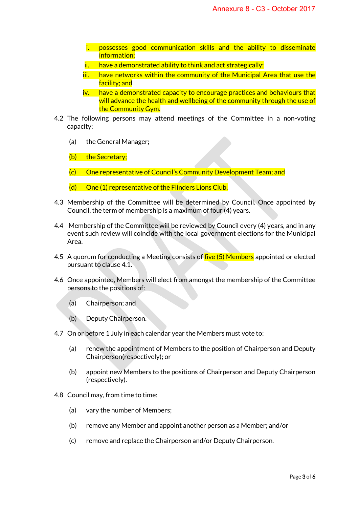- i. possesses good communication skills and the ability to disseminate information;
- ii. have a demonstrated ability to think and act strategically;
- iii. have networks within the community of the Municipal Area that use the facility; and
- iv. have a demonstrated capacity to encourage practices and behaviours that will advance the health and wellbeing of the community through the use of the Community Gym.
- 4.2 The following persons may attend meetings of the Committee in a non-voting capacity:
	- (a) the General Manager;
	- (b) the Secretary;
	- (c) One representative of Council's Community Development Team; and
	- (d) One (1) representative of the Flinders Lions Club.
- 4.3 Membership of the Committee will be determined by Council. Once appointed by Council, the term of membership is a maximum of four (4) years.
- 4.4 Membership of the Committee will be reviewed by Council every (4) years, and in any event such review will coincide with the local government elections for the Municipal Area.
- 4.5 A quorum for conducting a Meeting consists of five (5) Members appointed or elected pursuant to clause 4.1.
- 4.6 Once appointed, Members will elect from amongst the membership of the Committee persons to the positions of:
	- (a) Chairperson; and
	- (b) Deputy Chairperson.
- 4.7 On or before 1 July in each calendar year the Members must vote to:
	- (a) renew the appointment of Members to the position of Chairperson and Deputy Chairperson(respectively); or
	- (b) appoint new Members to the positions of Chairperson and Deputy Chairperson (respectively).
- 4.8 Council may, from time to time:
	- (a) vary the number of Members;
	- (b) remove any Member and appoint another person as a Member; and/or
	- (c) remove and replace the Chairperson and/or Deputy Chairperson.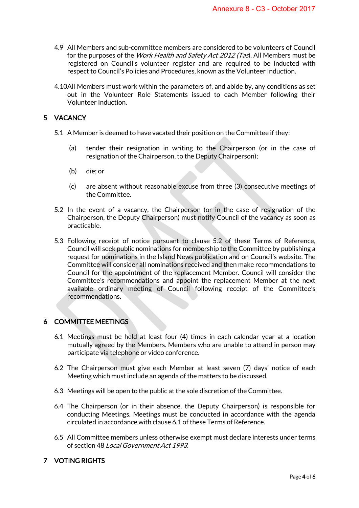- 4.9 All Members and sub-committee members are considered to be volunteers of Council for the purposes of the *Work Health and Safety Act 2012 (Tas*). All Members must be registered on Council's volunteer register and are required to be inducted with respect to Council's Policies and Procedures, known as the Volunteer Induction.
- 4.10All Members must work within the parameters of, and abide by, any conditions as set out in the Volunteer Role Statements issued to each Member following their Volunteer Induction.

# 5 VACANCY

- 5.1 A Member is deemed to have vacated their position on the Committee if they:
	- (a) tender their resignation in writing to the Chairperson (or in the case of resignation of the Chairperson, to the Deputy Chairperson);
	- (b) die; or
	- (c) are absent without reasonable excuse from three (3) consecutive meetings of the Committee.
- 5.2 In the event of a vacancy, the Chairperson (or in the case of resignation of the Chairperson, the Deputy Chairperson) must notify Council of the vacancy as soon as practicable.
- 5.3 Following receipt of notice pursuant to clause 5.2 of these Terms of Reference, Council will seek public nominations for membership to the Committee by publishing a request for nominations in the Island News publication and on Council's website. The Committee will consider all nominations received and then make recommendations to Council for the appointment of the replacement Member. Council will consider the Committee's recommendations and appoint the replacement Member at the next available ordinary meeting of Council following receipt of the Committee's recommendations.

## 6 COMMITTEE MEETINGS

- 6.1 Meetings must be held at least four (4) times in each calendar year at a location mutually agreed by the Members. Members who are unable to attend in person may participate via telephone or video conference.
- 6.2 The Chairperson must give each Member at least seven (7) days' notice of each Meeting which must include an agenda of the matters to be discussed.
- 6.3 Meetings will be open to the public at the sole discretion of the Committee.
- 6.4 The Chairperson (or in their absence, the Deputy Chairperson) is responsible for conducting Meetings. Meetings must be conducted in accordance with the agenda circulated in accordance with clause 6.1 of these Terms of Reference.
- 6.5 All Committee members unless otherwise exempt must declare interests under terms of section 48 Local Government Act 1993.

# 7 VOTING RIGHTS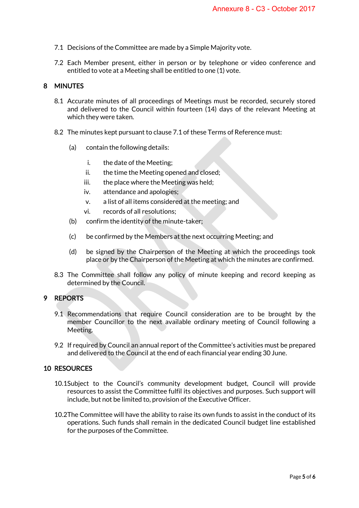- 7.1 Decisions of the Committee are made by a Simple Majority vote.
- 7.2 Each Member present, either in person or by telephone or video conference and entitled to vote at a Meeting shall be entitled to one (1) vote.

## 8 MINUTES

- 8.1 Accurate minutes of all proceedings of Meetings must be recorded, securely stored and delivered to the Council within fourteen (14) days of the relevant Meeting at which they were taken.
- 8.2 The minutes kept pursuant to clause 7.1 of these Terms of Reference must:
	- (a) contain the following details:
		- i. the date of the Meeting;
		- ii. the time the Meeting opened and closed;
		- iii. the place where the Meeting was held;
		- iv. attendance and apologies;
		- v. a list of all items considered at the meeting; and
		- vi. records of all resolutions;
	- (b) confirm the identity of the minute-taker;
	- (c) be confirmed by the Members at the next occurring Meeting; and
	- (d) be signed by the Chairperson of the Meeting at which the proceedings took place or by the Chairperson of the Meeting at which the minutes are confirmed.
- 8.3 The Committee shall follow any policy of minute keeping and record keeping as determined by the Council.

## 9 REPORTS

- 9.1 Recommendations that require Council consideration are to be brought by the member Councillor to the next available ordinary meeting of Council following a Meeting.
- 9.2 If required by Council an annual report of the Committee's activities must be prepared and delivered to the Council at the end of each financial year ending 30 June.

# 10 RESOURCES

- 10.1Subject to the Council's community development budget, Council will provide resources to assist the Committee fulfil its objectives and purposes. Such support will include, but not be limited to, provision of the Executive Officer.
- 10.2The Committee will have the ability to raise its own funds to assist in the conduct of its operations. Such funds shall remain in the dedicated Council budget line established for the purposes of the Committee.